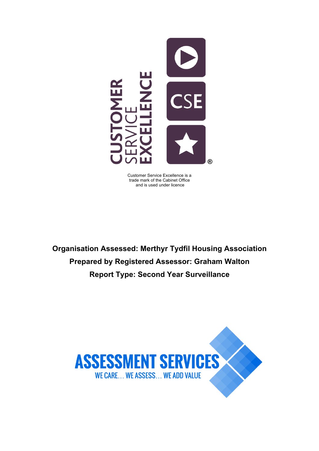

Customer Service Excellence is a trade mark of the Cabinet Office and is used under licence

**Organisation Assessed: Merthyr Tydfil Housing Association Prepared by Registered Assessor: Graham Walton Report Type: Second Year Surveillance**

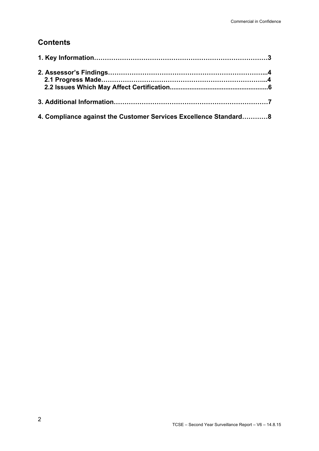## **Contents**

| 4. Compliance against the Customer Services Excellence Standard 8 |  |
|-------------------------------------------------------------------|--|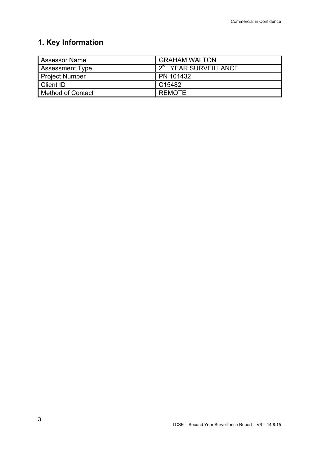# **1. Key Information**

| <b>Assessor Name</b>   | <b>GRAHAM WALTON</b>              |
|------------------------|-----------------------------------|
| <b>Assessment Type</b> | 2 <sup>ND</sup> YEAR SURVEILLANCE |
| <b>Project Number</b>  | PN 101432                         |
| <b>Client ID</b>       | C15482                            |
| Method of Contact      | <b>REMOTE</b>                     |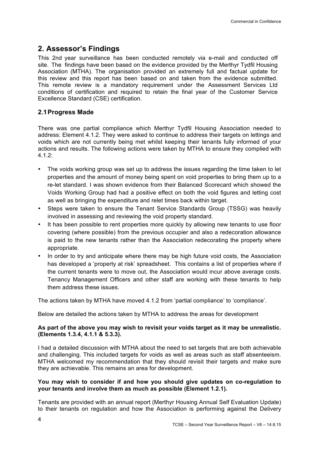### **2. Assessor's Findings**

This 2nd year surveillance has been conducted remotely via e-mail and conducted off site. The findings have been based on the evidence provided by the Merthyr Tydfil Housing Association (MTHA). The organisation provided an extremely full and factual update for this review and this report has been based on and taken from the evidence submitted. This remote review is a mandatory requirement under the Assessment Services Ltd conditions of certification and required to retain the final year of the Customer Service Excellence Standard (CSE) certification.

### **2.1Progress Made**

There was one partial compliance which Merthyr Tydfil Housing Association needed to address: Element 4.1.2. They were asked to continue to address their targets on lettings and voids which are not currently being met whilst keeping their tenants fully informed of your actions and results. The following actions were taken by MTHA to ensure they complied with 4.1.2:

- The voids working group was set up to address the issues regarding the time taken to let properties and the amount of money being spent on void properties to bring them up to a re-let standard. I was shown evidence from their Balanced Scorecard which showed the Voids Working Group had had a positive effect on both the void figures and letting cost as well as bringing the expenditure and relet times back within target.
- Steps were taken to ensure the Tenant Service Standards Group (TSSG) was heavily involved in assessing and reviewing the void property standard.
- It has been possible to rent properties more quickly by allowing new tenants to use floor covering (where possible) from the previous occupier and also a redecoration allowance is paid to the new tenants rather than the Association redecorating the property where appropriate.
- In order to try and anticipate where there may be high future void costs, the Association has developed a 'property at risk' spreadsheet. This contains a list of properties where if the current tenants were to move out, the Association would incur above average costs. Tenancy Management Officers and other staff are working with these tenants to help them address these issues.

The actions taken by MTHA have moved 4.1.2 from 'partial compliance' to 'compliance'.

Below are detailed the actions taken by MTHA to address the areas for development

#### **As part of the above you may wish to revisit your voids target as it may be unrealistic. (Elements 1.3.4, 4.1.1 & 5.3.3).**

I had a detailed discussion with MTHA about the need to set targets that are both achievable and challenging. This included targets for voids as well as areas such as staff absenteeism. MTHA welcomed my recommendation that they should revisit their targets and make sure they are achievable. This remains an area for development.

#### **You may wish to consider if and how you should give updates on co-regulation to your tenants and involve them as much as possible (Element 1.2.1).**

Tenants are provided with an annual report (Merthyr Housing Annual Self Evaluation Update) to their tenants on regulation and how the Association is performing against the Delivery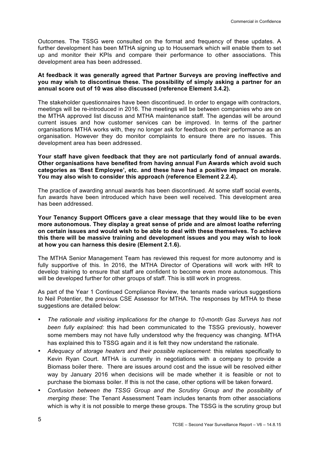Outcomes. The TSSG were consulted on the format and frequency of these updates. A further development has been MTHA signing up to Housemark which will enable them to set up and monitor their KPIs and compare their performance to other associations. This development area has been addressed.

#### **At feedback it was generally agreed that Partner Surveys are proving ineffective and you may wish to discontinue these. The possibility of simply asking a partner for an annual score out of 10 was also discussed (reference Element 3.4.2).**

The stakeholder questionnaires have been discontinued. In order to engage with contractors, meetings will be re-introduced in 2016. The meetings will be between companies who are on the MTHA approved list discuss and MTHA maintenance staff. The agendas will be around current issues and how customer services can be improved. In terms of the partner organisations MTHA works with, they no longer ask for feedback on their performance as an organisation. However they do monitor complaints to ensure there are no issues. This development area has been addressed.

#### **Your staff have given feedback that they are not particularly fond of annual awards. Other organisations have benefited from having annual Fun Awards which avoid such categories as 'Best Employee', etc. and these have had a positive impact on morale. You may also wish to consider this approach (reference Element 2.2.4).**

The practice of awarding annual awards has been discontinued. At some staff social events, fun awards have been introduced which have been well received. This development area has been addressed.

**Your Tenancy Support Officers gave a clear message that they would like to be even more autonomous. They display a great sense of pride and are almost loathe referring on certain issues and would wish to be able to deal with these themselves. To achieve this there will be massive training and development issues and you may wish to look at how you can harness this desire (Element 2.1.6).**

The MTHA Senior Management Team has reviewed this request for more autonomy and is fully supportive of this. In 2016, the MTHA Director of Operations will work with HR to develop training to ensure that staff are confident to become even more autonomous. This will be developed further for other groups of staff. This is still work in progress.

As part of the Year 1 Continued Compliance Review, the tenants made various suggestions to Neil Potentier, the previous CSE Assessor for MTHA. The responses by MTHA to these suggestions are detailed below:

- *The rationale and visiting implications for the change to 10-month Gas Surveys has not been fully explained:* this had been communicated to the TSSG previously, however some members may not have fully understood why the frequency was changing. MTHA has explained this to TSSG again and it is felt they now understand the rationale.
- *Adequacy of storage heaters and their possible replacement*: this relates specifically to Kevin Ryan Court. MTHA is currently in negotiations with a company to provide a Biomass boiler there. There are issues around cost and the issue will be resolved either way by January 2016 when decisions will be made whether it is feasible or not to purchase the biomass boiler. If this is not the case, other options will be taken forward.
- *Confusion between the TSSG Group and the Scrutiny Group and the possibility of merging these*: The Tenant Assessment Team includes tenants from other associations which is why it is not possible to merge these groups. The TSSG is the scrutiny group but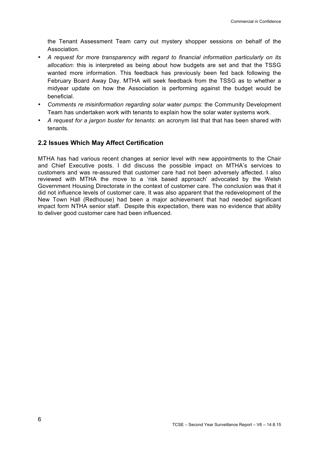the Tenant Assessment Team carry out mystery shopper sessions on behalf of the Association.

- *A request for more transparency with regard to financial information particularly on its allocation*: this is interpreted as being about how budgets are set and that the TSSG wanted more information. This feedback has previously been fed back following the February Board Away Day. MTHA will seek feedback from the TSSG as to whether a midyear update on how the Association is performing against the budget would be beneficial.
- *Comments re misinformation regarding solar water pumps*: the Community Development Team has undertaken work with tenants to explain how the solar water systems work.
- *A request for a jargon buster for tenants*: an acronym list that that has been shared with tenants.

### **2.2 Issues Which May Affect Certification**

MTHA has had various recent changes at senior level with new appointments to the Chair and Chief Executive posts. I did discuss the possible impact on MTHA's services to customers and was re-assured that customer care had not been adversely affected. I also reviewed with MTHA the move to a 'risk based approach' advocated by the Welsh Government Housing Directorate in the context of customer care. The conclusion was that it did not influence levels of customer care. It was also apparent that the redevelopment of the New Town Hall (Redhouse) had been a major achievement that had needed significant impact form NTHA senior staff. Despite this expectation, there was no evidence that ability to deliver good customer care had been influenced.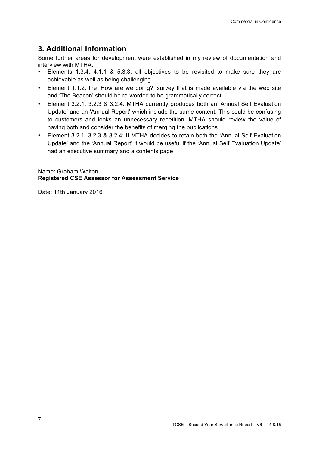## **3. Additional Information**

Some further areas for development were established in my review of documentation and interview with MTHA:

- Elements 1.3.4, 4.1.1 & 5.3.3: all objectives to be revisited to make sure they are achievable as well as being challenging
- Element 1.1.2: the 'How are we doing?' survey that is made available via the web site and 'The Beacon' should be re-worded to be grammatically correct
- Element 3.2.1, 3.2.3 & 3.2.4: MTHA currently produces both an 'Annual Self Evaluation Update' and an 'Annual Report' which include the same content. This could be confusing to customers and looks an unnecessary repetition. MTHA should review the value of having both and consider the benefits of merging the publications
- Element 3.2.1, 3.2.3 & 3.2.4: If MTHA decides to retain both the 'Annual Self Evaluation Update' and the 'Annual Report' it would be useful if the 'Annual Self Evaluation Update' had an executive summary and a contents page

Name: Graham Walton **Registered CSE Assessor for Assessment Service**

Date: 11th January 2016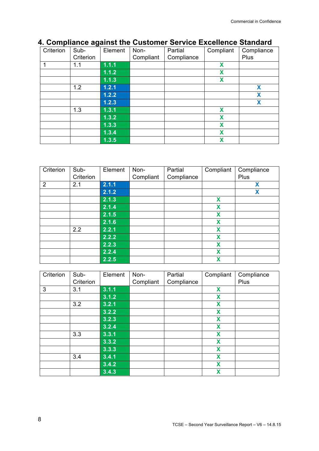#### Criterion | Sub- | Element | Non- | Partial | Compliant | Compliance Criterion **Compliant Compliance** Plus 1 1.1 **1.1.1 X 1.1.2 X 1.1.3**<br>**1.2.1** 1.2 **1.2.1 X 1.2.2 X 1.2.3 X** 1.3 **1.3.1 X 1.3.2 X 1.3.3 X 1.3.4 X 1.3.5 X**

### **4. Compliance against the Customer Service Excellence Standard**

| Criterion      | Sub-      | Element | Non-      | Partial    | Compliant | Compliance |
|----------------|-----------|---------|-----------|------------|-----------|------------|
|                | Criterion |         | Compliant | Compliance |           | Plus       |
| $\overline{2}$ | 2.1       | 2.1.1   |           |            |           | X          |
|                |           | 2.1.2   |           |            |           | X          |
|                |           | 2.1.3   |           |            | X         |            |
|                |           | 2.1.4   |           |            | X         |            |
|                |           | 2.1.5   |           |            | X         |            |
|                |           | 2.1.6   |           |            | X         |            |
|                | 2.2       | 2.2.1   |           |            | X         |            |
|                |           | 2.2.2   |           |            | X         |            |
|                |           | 2.2.3   |           |            | X         |            |
|                |           | 2.2.4   |           |            | X         |            |
|                |           | 2.2.5   |           |            | X         |            |

| Criterion | Sub-      | Element | Non-      | Partial    | Compliant | Compliance |
|-----------|-----------|---------|-----------|------------|-----------|------------|
|           | Criterion |         | Compliant | Compliance |           | Plus       |
| 3         | 3.1       | 3.1.1   |           |            | X         |            |
|           |           | 3.1.2   |           |            | X         |            |
|           | 3.2       | 3.2.1   |           |            | X         |            |
|           |           | 3.2.2   |           |            | X         |            |
|           |           | 3.2.3   |           |            | X         |            |
|           |           | 3.2.4   |           |            | X         |            |
|           | 3.3       | 3.3.1   |           |            | X         |            |
|           |           | 3.3.2   |           |            | X         |            |
|           |           | 3.3.3   |           |            | X         |            |
|           | 3.4       | 3.4.1   |           |            | X         |            |
|           |           | 3.4.2   |           |            | X         |            |
|           |           | 3.4.3   |           |            | X         |            |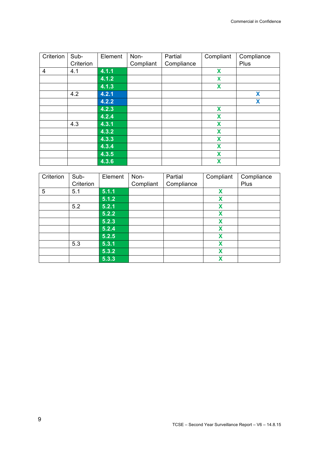| Criterion      | Sub-      | Element | Non-      | Partial    | Compliant | Compliance |
|----------------|-----------|---------|-----------|------------|-----------|------------|
|                | Criterion |         | Compliant | Compliance |           | Plus       |
| $\overline{4}$ | 4.1       | 4.1.1   |           |            | X         |            |
|                |           | 4.1.2   |           |            | X         |            |
|                |           | 4.1.3   |           |            | X         |            |
|                | 4.2       | 4.2.1   |           |            |           | X          |
|                |           | 4.2.2   |           |            |           | X          |
|                |           | 4.2.3   |           |            | X         |            |
|                |           | 4.2.4   |           |            | X         |            |
|                | 4.3       | 4.3.1   |           |            | X         |            |
|                |           | 4.3.2   |           |            | X         |            |
|                |           | 4.3.3   |           |            | X         |            |
|                |           | 4.3.4   |           |            | X         |            |
|                |           | 4.3.5   |           |            | X         |            |
|                |           | 4.3.6   |           |            | X         |            |

| Criterion | Sub-      | Element | Non-      | Partial    | Compliant | Compliance  |
|-----------|-----------|---------|-----------|------------|-----------|-------------|
|           | Criterion |         | Compliant | Compliance |           | <b>Plus</b> |
| 5         | 5.1       | 5.1.1   |           |            | X         |             |
|           |           | 5.1.2   |           |            | X         |             |
|           | 5.2       | 5.2.1   |           |            | X         |             |
|           |           | 5.2.2   |           |            | X         |             |
|           |           | 5.2.3   |           |            | X         |             |
|           |           | 5.2.4   |           |            | X         |             |
|           |           | 5.2.5   |           |            | X         |             |
|           | 5.3       | 5.3.1   |           |            | X         |             |
|           |           | 5.3.2   |           |            | X         |             |
|           |           | 5.3.3   |           |            | X         |             |